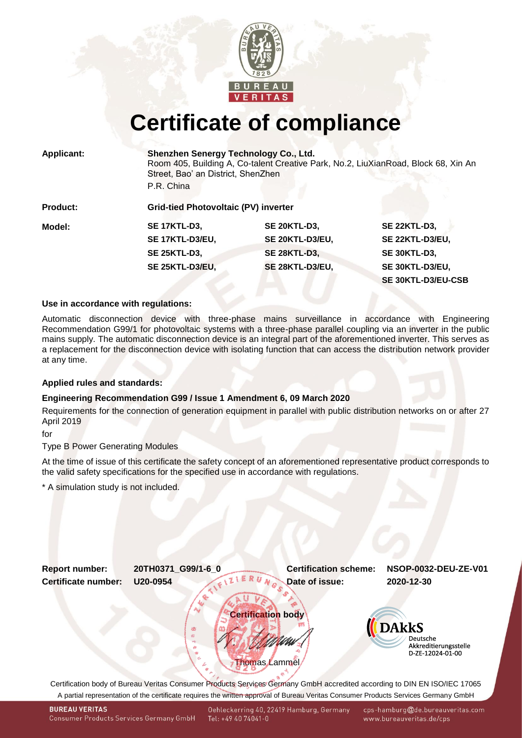

## **Certificate of compliance**

|  | <b>Applicant:</b> |  |
|--|-------------------|--|
|  |                   |  |

**Applicant: Shenzhen Senergy Technology Co., Ltd.** Room 405, Building A, Co-talent Creative Park, No.2, LiuXianRoad, Block 68, Xin An Street, Bao' an District, ShenZhen P.R. China

**Product: Grid-tied Photovoltaic (PV) inverter Model: SE 17KTL-D3, SE 20KTL-D3, SE 22KTL-D3, SE 17KTL-D3/EU, SE 20KTL-D3/EU, SE 22KTL-D3/EU, SE 25KTL-D3, SE 28KTL-D3, SE 30KTL-D3, SE 25KTL-D3/EU, SE 28KTL-D3/EU, SE 30KTL-D3/EU,**

# **SE 30KTL-D3/EU-CSB**

#### **Use in accordance with regulations:**

Automatic disconnection device with three-phase mains surveillance in accordance with Engineering Recommendation G99/1 for photovoltaic systems with a three-phase parallel coupling via an inverter in the public mains supply. The automatic disconnection device is an integral part of the aforementioned inverter. This serves as a replacement for the disconnection device with isolating function that can access the distribution network provider at any time.

#### **Applied rules and standards:**

### **Engineering Recommendation G99 / Issue 1 Amendment 6, 09 March 2020**

Requirements for the connection of generation equipment in parallel with public distribution networks on or after 27 April 2019

for

Type B Power Generating Modules

At the time of issue of this certificate the safety concept of an aforementioned representative product corresponds to the valid safety specifications for the specified use in accordance with regulations.

\* A simulation study is not included.

<span id="page-0-1"></span><span id="page-0-0"></span>

A partial representation of the certificate requires the written approval of Bureau Veritas Consumer Products Services Germany GmbH